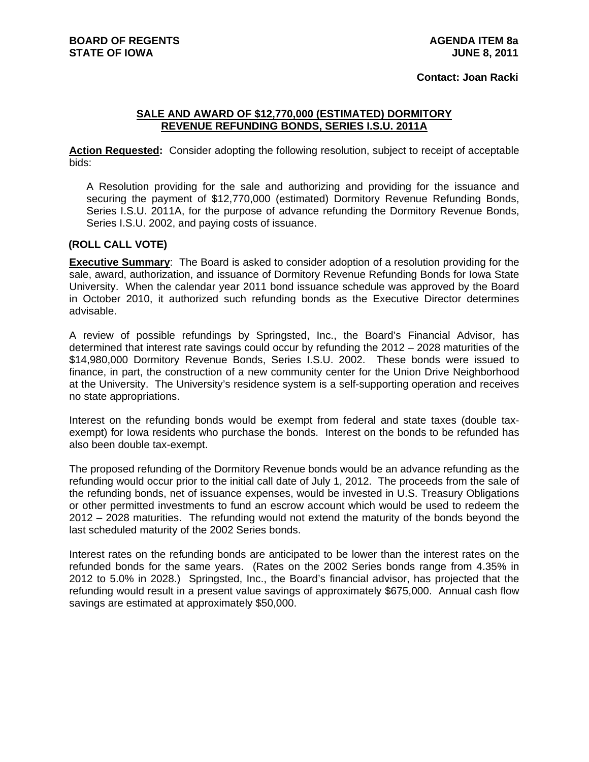## **Contact: Joan Racki**

## **SALE AND AWARD OF \$12,770,000 (ESTIMATED) DORMITORY REVENUE REFUNDING BONDS, SERIES I.S.U. 2011A**

**Action Requested:** Consider adopting the following resolution, subject to receipt of acceptable bids:

A Resolution providing for the sale and authorizing and providing for the issuance and securing the payment of \$12,770,000 (estimated) Dormitory Revenue Refunding Bonds, Series I.S.U. 2011A, for the purpose of advance refunding the Dormitory Revenue Bonds, Series I.S.U. 2002, and paying costs of issuance.

## **(ROLL CALL VOTE)**

**Executive Summary**: The Board is asked to consider adoption of a resolution providing for the sale, award, authorization, and issuance of Dormitory Revenue Refunding Bonds for Iowa State University. When the calendar year 2011 bond issuance schedule was approved by the Board in October 2010, it authorized such refunding bonds as the Executive Director determines advisable.

A review of possible refundings by Springsted, Inc., the Board's Financial Advisor, has determined that interest rate savings could occur by refunding the 2012 – 2028 maturities of the \$14,980,000 Dormitory Revenue Bonds, Series I.S.U. 2002. These bonds were issued to finance, in part, the construction of a new community center for the Union Drive Neighborhood at the University. The University's residence system is a self-supporting operation and receives no state appropriations.

Interest on the refunding bonds would be exempt from federal and state taxes (double taxexempt) for Iowa residents who purchase the bonds. Interest on the bonds to be refunded has also been double tax-exempt.

The proposed refunding of the Dormitory Revenue bonds would be an advance refunding as the refunding would occur prior to the initial call date of July 1, 2012. The proceeds from the sale of the refunding bonds, net of issuance expenses, would be invested in U.S. Treasury Obligations or other permitted investments to fund an escrow account which would be used to redeem the 2012 – 2028 maturities. The refunding would not extend the maturity of the bonds beyond the last scheduled maturity of the 2002 Series bonds.

Interest rates on the refunding bonds are anticipated to be lower than the interest rates on the refunded bonds for the same years. (Rates on the 2002 Series bonds range from 4.35% in 2012 to 5.0% in 2028.) Springsted, Inc., the Board's financial advisor, has projected that the refunding would result in a present value savings of approximately \$675,000. Annual cash flow savings are estimated at approximately \$50,000.